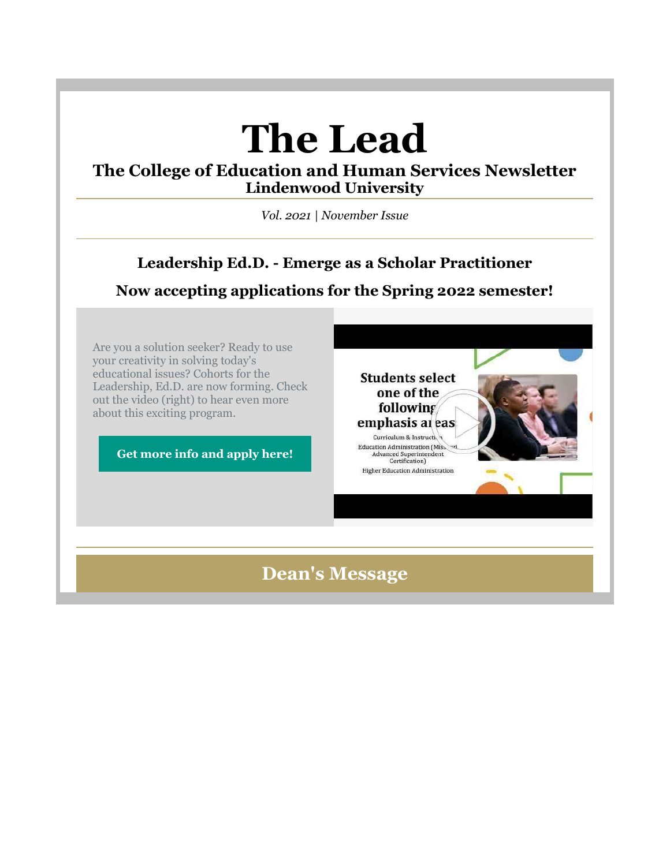# **The Lead**

## **The College of Education and Human Services Newsletter Lindenwood University**

*Vol. 2021 | November Issue*

# **Leadership Ed.D. - Emerge as a Scholar Practitioner**

**Now accepting applications for the Spring 2022 semester!**

Are you a solution seeker? Ready to use your creativity in solving today's educational issues? Cohorts for the Leadership, Ed.D. are now forming. Check out the video (right) to hear even more about this exciting program.

**[Get more info and apply here!](https://nam04.safelinks.protection.outlook.com/?url=https%3A%2F%2Fr20.rs6.net%2Ftn.jsp%3Ff%3D0015abTkrdpAVPx09GBQD_AfWXTOYMZgUXJ327L0_KMN9UBOD7zzQhVzn34kiO_mBa_Lc1WsXeGdPaElGPJfpBHC8oRQ75IwLfE6sAgrKHyDJ18_QuHRbQTXrD5ES3jV7TU2ZGrr3hgk-v0V_Rd2M8APb0SqyHGrE_MuJLsX946XQvBIvpnGT4basZ3mxeoaFehCK6qZpCXLkVUT31lI5W__7TW1sb6U7jit5-nZpTzV1s52kOWYrimyMGtwFu1gZ7AZVRZyERj-gOxmq237Ppc0A%3D%3D%26c%3D7frSRQnWKkGeg84yC4F1CXKaPZWoz4SZnhABot4NspFH9KxFkWZVnw%3D%3D%26ch%3DOyTp40uIC0Z_4jKwOf0_aUnutovzqWfi4J9WdVGRZzOf_Tp6yc9y_Q%3D%3D&data=04%7C01%7Cphuffman%40lindenwood.edu%7C6d79077c682747c847b708d99d51922c%7C3d72f08e540a4c68905d9e69c4d9c61e%7C1%7C0%7C637713795941119600%7CUnknown%7CTWFpbGZsb3d8eyJWIjoiMC4wLjAwMDAiLCJQIjoiV2luMzIiLCJBTiI6Ik1haWwiLCJXVCI6Mn0%3D%7C1000&sdata=FtUutXYK%2BPrm%2FPKBh08ErEM9P8qUwhbZmbuLq1Wx5OU%3D&reserved=0)**



# **Dean's Message**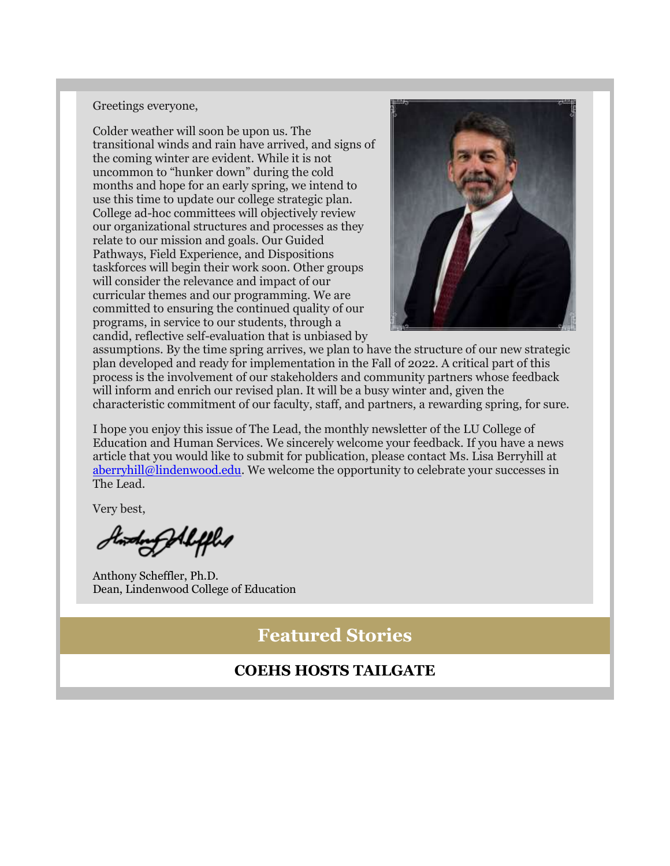#### Greetings everyone,

Colder weather will soon be upon us. The transitional winds and rain have arrived, and signs of the coming winter are evident. While it is not uncommon to "hunker down" during the cold months and hope for an early spring, we intend to use this time to update our college strategic plan. College ad-hoc committees will objectively review our organizational structures and processes as they relate to our mission and goals. Our Guided Pathways, Field Experience, and Dispositions taskforces will begin their work soon. Other groups will consider the relevance and impact of our curricular themes and our programming. We are committed to ensuring the continued quality of our programs, in service to our students, through a candid, reflective self-evaluation that is unbiased by



assumptions. By the time spring arrives, we plan to have the structure of our new strategic plan developed and ready for implementation in the Fall of 2022. A critical part of this process is the involvement of our stakeholders and community partners whose feedback will inform and enrich our revised plan. It will be a busy winter and, given the characteristic commitment of our faculty, staff, and partners, a rewarding spring, for sure.

I hope you enjoy this issue of The Lead, the monthly newsletter of the LU College of Education and Human Services. We sincerely welcome your feedback. If you have a news article that you would like to submit for publication, please contact Ms. Lisa Berryhill at [aberryhill@lindenwood.edu.](mailto:aberryhill@lindenwood.edu) We welcome the opportunity to celebrate your successes in The Lead.

Very best,

twodorf Aleffles

Anthony Scheffler, Ph.D. Dean, Lindenwood College of Education

**Featured Stories**

## **COEHS HOSTS TAILGATE**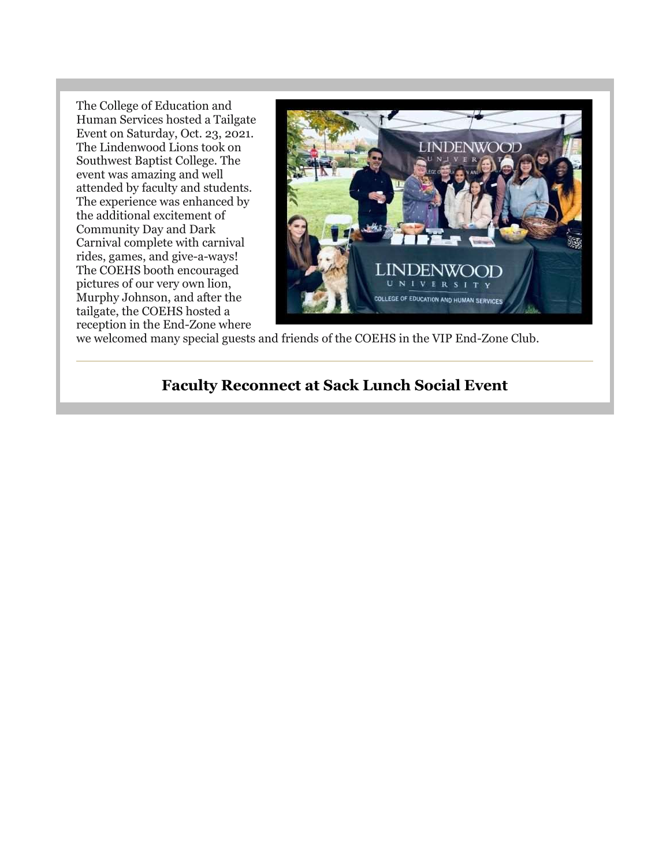The College of Education and Human Services hosted a Tailgate Event on Saturday, Oct. 23, 2021. The Lindenwood Lions took on Southwest Baptist College. The event was amazing and well attended by faculty and students. The experience was enhanced by the additional excitement of Community Day and Dark Carnival complete with carnival rides, games, and give-a-ways! The COEHS booth encouraged pictures of our very own lion, Murphy Johnson, and after the tailgate, the COEHS hosted a reception in the End-Zone where



we welcomed many special guests and friends of the COEHS in the VIP End-Zone Club.

## **Faculty Reconnect at Sack Lunch Social Event**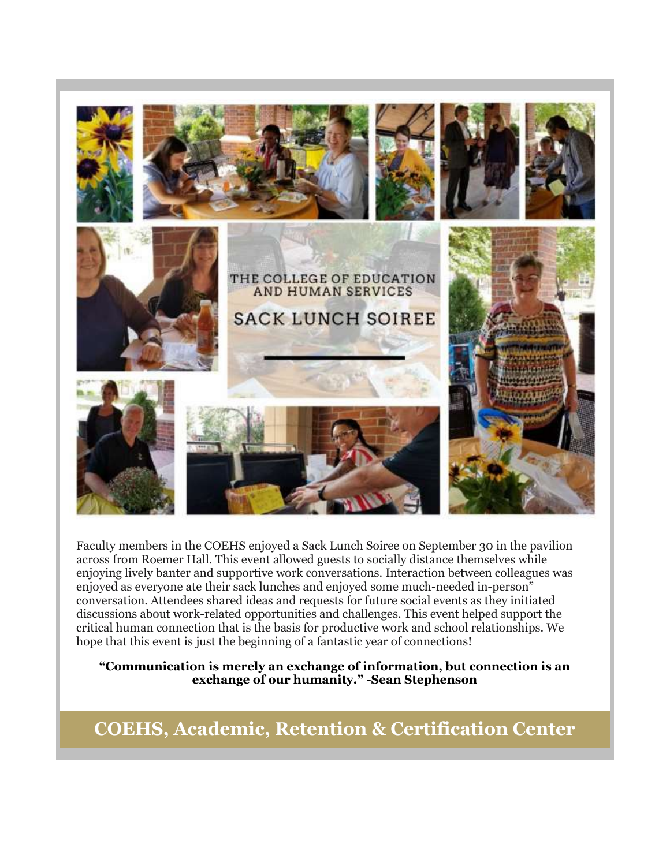

Faculty members in the COEHS enjoyed a Sack Lunch Soiree on September 30 in the pavilion across from Roemer Hall. This event allowed guests to socially distance themselves while enjoying lively banter and supportive work conversations. Interaction between colleagues was enjoyed as everyone ate their sack lunches and enjoyed some much-needed in-person" conversation. Attendees shared ideas and requests for future social events as they initiated discussions about work-related opportunities and challenges. This event helped support the critical human connection that is the basis for productive work and school relationships. We hope that this event is just the beginning of a fantastic year of connections!

**"Communication is merely an exchange of information, but connection is an exchange of our humanity." -Sean Stephenson**

**COEHS, Academic, Retention & Certification Center**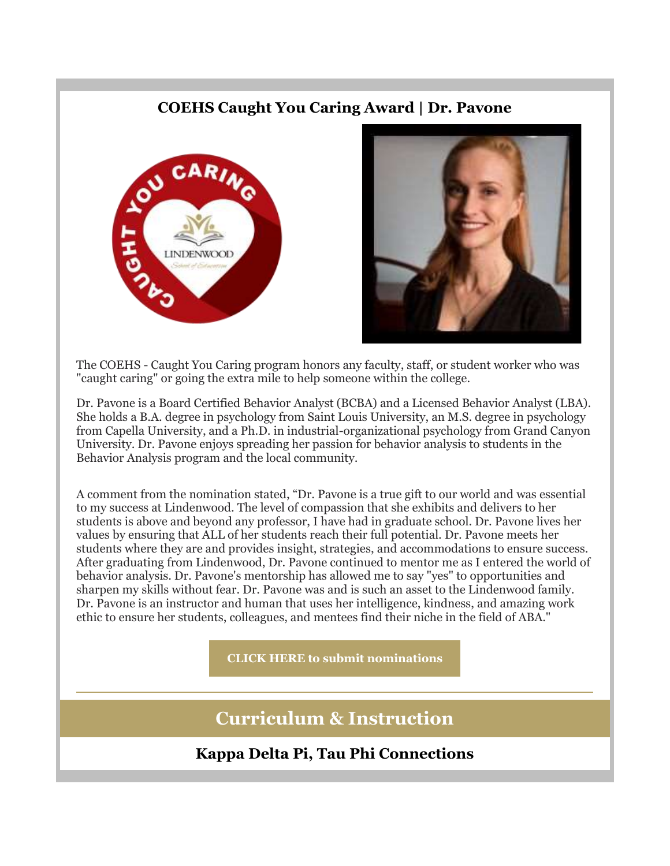## **COEHS Caught You Caring Award | Dr. Pavone**





The COEHS - Caught You Caring program honors any faculty, staff, or student worker who was "caught caring" or going the extra mile to help someone within the college.

Dr. Pavone is a Board Certified Behavior Analyst (BCBA) and a Licensed Behavior Analyst (LBA). She holds a B.A. degree in psychology from Saint Louis University, an M.S. degree in psychology from Capella University, and a Ph.D. in industrial-organizational psychology from Grand Canyon University. Dr. Pavone enjoys spreading her passion for behavior analysis to students in the Behavior Analysis program and the local community.

A comment from the nomination stated, "Dr. Pavone is a true gift to our world and was essential to my success at Lindenwood. The level of compassion that she exhibits and delivers to her students is above and beyond any professor, I have had in graduate school. Dr. Pavone lives her values by ensuring that ALL of her students reach their full potential. Dr. Pavone meets her students where they are and provides insight, strategies, and accommodations to ensure success. After graduating from Lindenwood, Dr. Pavone continued to mentor me as I entered the world of behavior analysis. Dr. Pavone's mentorship has allowed me to say "yes" to opportunities and sharpen my skills without fear. Dr. Pavone was and is such an asset to the Lindenwood family. Dr. Pavone is an instructor and human that uses her intelligence, kindness, and amazing work ethic to ensure her students, colleagues, and mentees find their niche in the field of ABA."

**[CLICK HERE to submit nominations](https://nam04.safelinks.protection.outlook.com/?url=https%3A%2F%2Fr20.rs6.net%2Ftn.jsp%3Ff%3D0015abTkrdpAVPx09GBQD_AfWXTOYMZgUXJ327L0_KMN9UBOD7zzQhVzjbwk0vOodOHSqeMIVlVoJOTYn_RHsgdVygwAwTtLksvK0_kuMUI65s-KOFcHvIrk1SRITzYSOnPC7kxHnUPfJNNNqQCOEcWeAhJFDjv-DN2iZSSKa0w5M01LH7sEoFvZ9G4M5XoN4SbYWaK8gVHerdJVXb0vUQMNYxsOFAmtjhE40acOvXXplX6cXTTKaG8hWlDaafmM7xXxwAx66-88CkkBqtMvAYBjB7U4s0mmkNtnkA5575lHVWvLr-XIuNH_A%3D%3D%26c%3D7frSRQnWKkGeg84yC4F1CXKaPZWoz4SZnhABot4NspFH9KxFkWZVnw%3D%3D%26ch%3DOyTp40uIC0Z_4jKwOf0_aUnutovzqWfi4J9WdVGRZzOf_Tp6yc9y_Q%3D%3D&data=04%7C01%7Cphuffman%40lindenwood.edu%7C6d79077c682747c847b708d99d51922c%7C3d72f08e540a4c68905d9e69c4d9c61e%7C1%7C0%7C637713795941139509%7CUnknown%7CTWFpbGZsb3d8eyJWIjoiMC4wLjAwMDAiLCJQIjoiV2luMzIiLCJBTiI6Ik1haWwiLCJXVCI6Mn0%3D%7C1000&sdata=AjGUJBeT%2F%2FLecx3b7A%2FyQ9HaPP0wUyFBNn3Nz3vNek4%3D&reserved=0)**

# **Curriculum & Instruction**

**Kappa Delta Pi, Tau Phi Connections**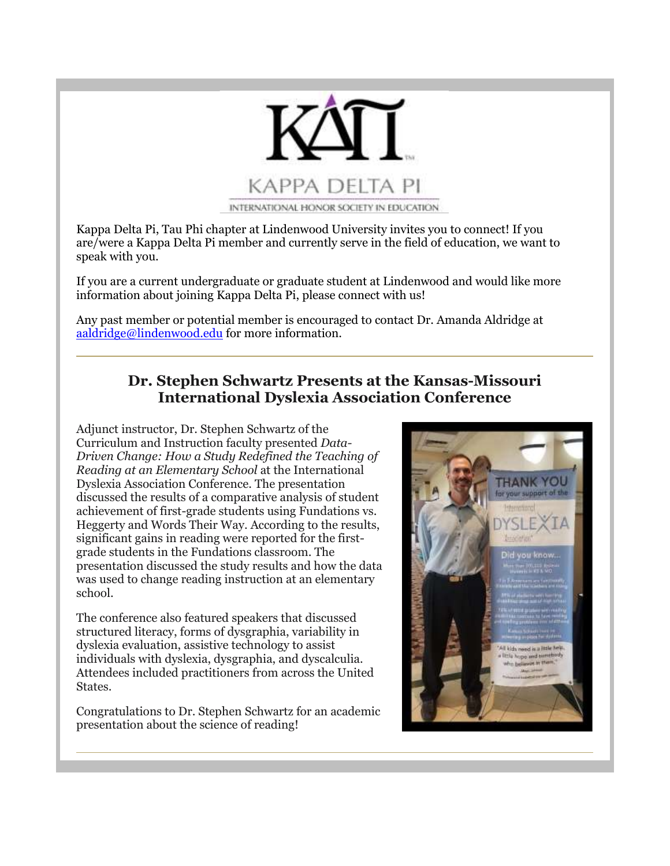

Kappa Delta Pi, Tau Phi chapter at Lindenwood University invites you to connect! If you are/were a Kappa Delta Pi member and currently serve in the field of education, we want to speak with you.

If you are a current undergraduate or graduate student at Lindenwood and would like more information about joining Kappa Delta Pi, please connect with us!

Any past member or potential member is encouraged to contact Dr. Amanda Aldridge at [aaldridge@lindenwood.edu](mailto:aaldridge@lindenwood.edu) for more information.

## **Dr. Stephen Schwartz Presents at the Kansas-Missouri International Dyslexia Association Conference**

Adjunct instructor, Dr. Stephen Schwartz of the Curriculum and Instruction faculty presented *Data-Driven Change: How a Study Redefined the Teaching of Reading at an Elementary School* at the International Dyslexia Association Conference. The presentation discussed the results of a comparative analysis of student achievement of first-grade students using Fundations vs. Heggerty and Words Their Way. According to the results, significant gains in reading were reported for the firstgrade students in the Fundations classroom. The presentation discussed the study results and how the data was used to change reading instruction at an elementary school.

The conference also featured speakers that discussed structured literacy, forms of dysgraphia, variability in dyslexia evaluation, assistive technology to assist individuals with dyslexia, dysgraphia, and dyscalculia. Attendees included practitioners from across the United States.

Congratulations to Dr. Stephen Schwartz for an academic presentation about the science of reading!

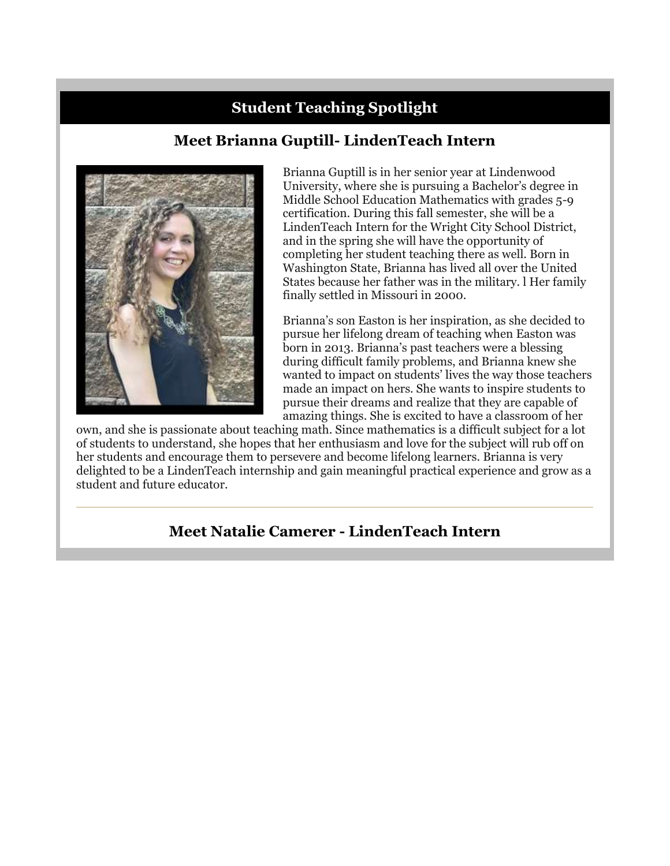# **Student Teaching Spotlight**

# **Meet Brianna Guptill- LindenTeach Intern**



Brianna Guptill is in her senior year at Lindenwood University, where she is pursuing a Bachelor's degree in Middle School Education Mathematics with grades 5-9 certification. During this fall semester, she will be a LindenTeach Intern for the Wright City School District, and in the spring she will have the opportunity of completing her student teaching there as well. Born in Washington State, Brianna has lived all over the United States because her father was in the military. l Her family finally settled in Missouri in 2000.

Brianna's son Easton is her inspiration, as she decided to pursue her lifelong dream of teaching when Easton was born in 2013. Brianna's past teachers were a blessing during difficult family problems, and Brianna knew she wanted to impact on students' lives the way those teachers made an impact on hers. She wants to inspire students to pursue their dreams and realize that they are capable of amazing things. She is excited to have a classroom of her

own, and she is passionate about teaching math. Since mathematics is a difficult subject for a lot of students to understand, she hopes that her enthusiasm and love for the subject will rub off on her students and encourage them to persevere and become lifelong learners. Brianna is very delighted to be a LindenTeach internship and gain meaningful practical experience and grow as a student and future educator.

## **Meet Natalie Camerer - LindenTeach Intern**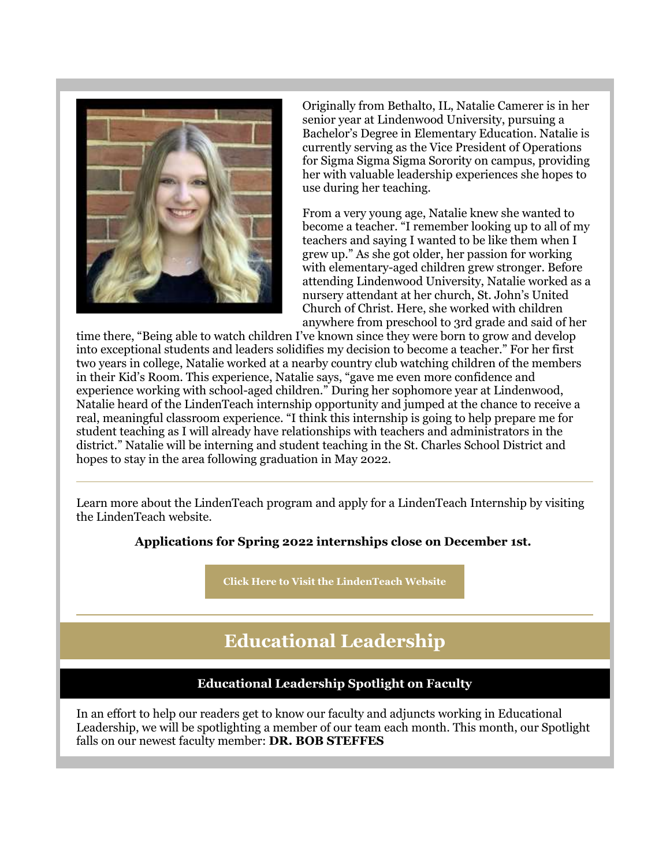

Originally from Bethalto, IL, Natalie Camerer is in her senior year at Lindenwood University, pursuing a Bachelor's Degree in Elementary Education. Natalie is currently serving as the Vice President of Operations for Sigma Sigma Sigma Sorority on campus, providing her with valuable leadership experiences she hopes to use during her teaching.

From a very young age, Natalie knew she wanted to become a teacher. "I remember looking up to all of my teachers and saying I wanted to be like them when I grew up." As she got older, her passion for working with elementary-aged children grew stronger. Before attending Lindenwood University, Natalie worked as a nursery attendant at her church, St. John's United Church of Christ. Here, she worked with children anywhere from preschool to 3rd grade and said of her

time there, "Being able to watch children I've known since they were born to grow and develop into exceptional students and leaders solidifies my decision to become a teacher." For her first two years in college, Natalie worked at a nearby country club watching children of the members in their Kid's Room. This experience, Natalie says, "gave me even more confidence and experience working with school-aged children." During her sophomore year at Lindenwood, Natalie heard of the LindenTeach internship opportunity and jumped at the chance to receive a real, meaningful classroom experience. "I think this internship is going to help prepare me for student teaching as I will already have relationships with teachers and administrators in the district." Natalie will be interning and student teaching in the St. Charles School District and hopes to stay in the area following graduation in May 2022.

Learn more about the LindenTeach program and apply for a LindenTeach Internship by visiting the LindenTeach website.

#### **Applications for Spring 2022 internships close on December 1st.**

**[Click Here to Visit the LindenTeach Website](https://nam04.safelinks.protection.outlook.com/?url=https%3A%2F%2Fr20.rs6.net%2Ftn.jsp%3Ff%3D0015abTkrdpAVPx09GBQD_AfWXTOYMZgUXJ327L0_KMN9UBOD7zzQhVzo1OH_vdNtHXkGvpKus9nuE_dNqcD-RBDKCu5AR020V4YgbQ7tJfDcr-T1mFMgu1kvHpYino4SUScjC-W50W7_6HwtFTzEfboCaYNVaOQy8zE_fJwwS7gy2wqubyU3A5Rv--z5dzXN2Vw4vAwFfO8hAQTJQy0ZS9f7JaciPCPOhDc5c-_n70jED0fAkxPV5X5DOeMYpFbQruaRQwwwzvcNQ%3D%26c%3D7frSRQnWKkGeg84yC4F1CXKaPZWoz4SZnhABot4NspFH9KxFkWZVnw%3D%3D%26ch%3DOyTp40uIC0Z_4jKwOf0_aUnutovzqWfi4J9WdVGRZzOf_Tp6yc9y_Q%3D%3D&data=04%7C01%7Cphuffman%40lindenwood.edu%7C6d79077c682747c847b708d99d51922c%7C3d72f08e540a4c68905d9e69c4d9c61e%7C1%7C0%7C637713795941149460%7CUnknown%7CTWFpbGZsb3d8eyJWIjoiMC4wLjAwMDAiLCJQIjoiV2luMzIiLCJBTiI6Ik1haWwiLCJXVCI6Mn0%3D%7C1000&sdata=er4llUNnvxOEf7ugRO2vgA35RMTwtD7aOhvlU%2Faud7I%3D&reserved=0)**

# **Educational Leadership**

## **Educational Leadership Spotlight on Faculty**

In an effort to help our readers get to know our faculty and adjuncts working in Educational Leadership, we will be spotlighting a member of our team each month. This month, our Spotlight falls on our newest faculty member: **DR. BOB STEFFES**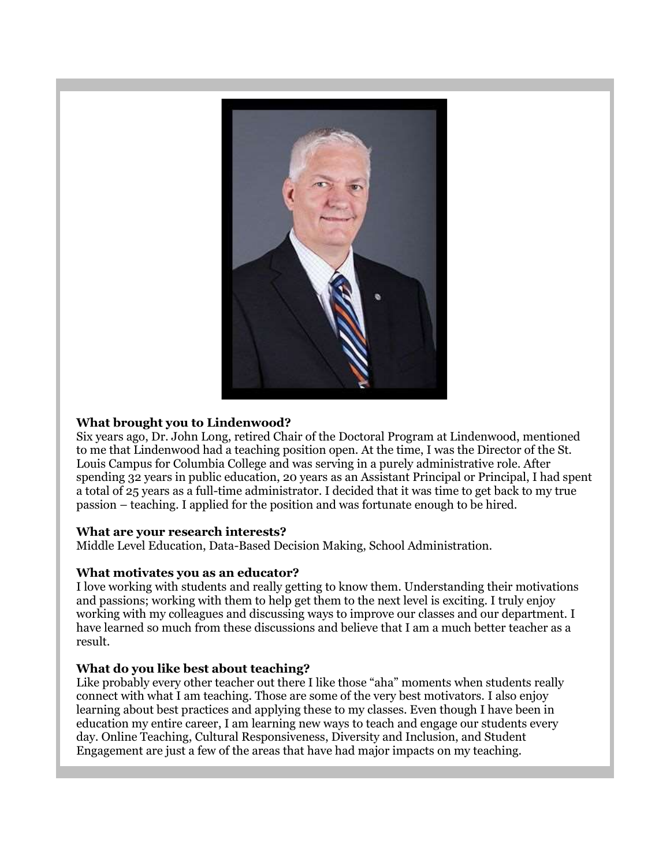

#### **What brought you to Lindenwood?**

Six years ago, Dr. John Long, retired Chair of the Doctoral Program at Lindenwood, mentioned to me that Lindenwood had a teaching position open. At the time, I was the Director of the St. Louis Campus for Columbia College and was serving in a purely administrative role. After spending 32 years in public education, 20 years as an Assistant Principal or Principal, I had spent a total of 25 years as a full-time administrator. I decided that it was time to get back to my true passion – teaching. I applied for the position and was fortunate enough to be hired.

#### **What are your research interests?**

Middle Level Education, Data-Based Decision Making, School Administration.

#### **What motivates you as an educator?**

I love working with students and really getting to know them. Understanding their motivations and passions; working with them to help get them to the next level is exciting. I truly enjoy working with my colleagues and discussing ways to improve our classes and our department. I have learned so much from these discussions and believe that I am a much better teacher as a result.

#### **What do you like best about teaching?**

Like probably every other teacher out there I like those "aha" moments when students really connect with what I am teaching. Those are some of the very best motivators. I also enjoy learning about best practices and applying these to my classes. Even though I have been in education my entire career, I am learning new ways to teach and engage our students every day. Online Teaching, Cultural Responsiveness, Diversity and Inclusion, and Student Engagement are just a few of the areas that have had major impacts on my teaching.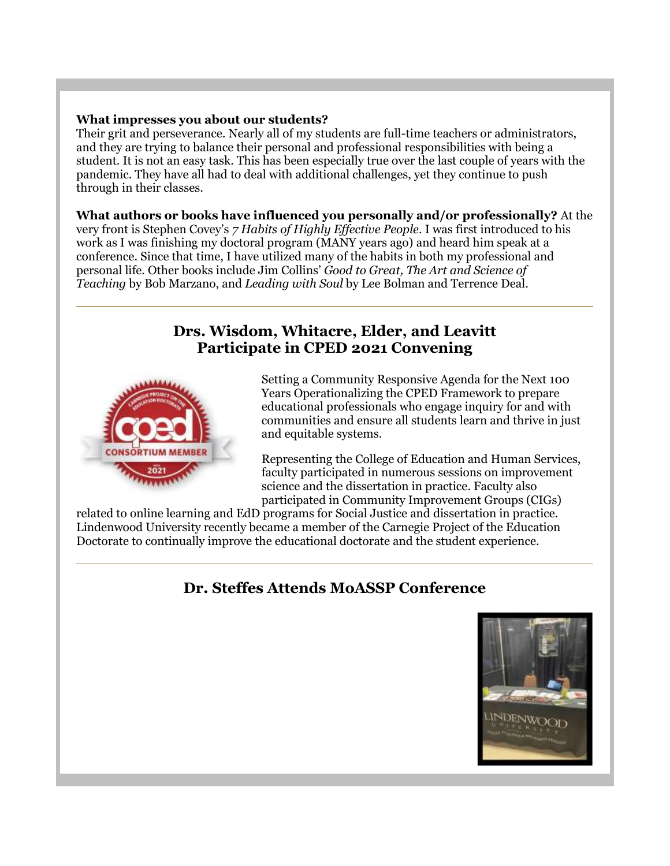#### **What impresses you about our students?**

Their grit and perseverance. Nearly all of my students are full-time teachers or administrators, and they are trying to balance their personal and professional responsibilities with being a student. It is not an easy task. This has been especially true over the last couple of years with the pandemic. They have all had to deal with additional challenges, yet they continue to push through in their classes.

#### **What authors or books have influenced you personally and/or professionally?** At the

very front is Stephen Covey's *7 Habits of Highly Effective People*. I was first introduced to his work as I was finishing my doctoral program (MANY years ago) and heard him speak at a conference. Since that time, I have utilized many of the habits in both my professional and personal life. Other books include Jim Collins' *Good to Great, The Art and Science of Teaching* by Bob Marzano, and *Leading with Soul* by Lee Bolman and Terrence Deal.

## **Drs. Wisdom, Whitacre, Elder, and Leavitt Participate in CPED 2021 Convening**



Setting a Community Responsive Agenda for the Next 100 Years Operationalizing the CPED Framework to prepare educational professionals who engage inquiry for and with communities and ensure all students learn and thrive in just and equitable systems.

Representing the College of Education and Human Services, faculty participated in numerous sessions on improvement science and the dissertation in practice. Faculty also participated in Community Improvement Groups (CIGs)

related to online learning and EdD programs for Social Justice and dissertation in practice. Lindenwood University recently became a member of the Carnegie Project of the Education Doctorate to continually improve the educational doctorate and the student experience.

# **Dr. Steffes Attends MoASSP Conference**

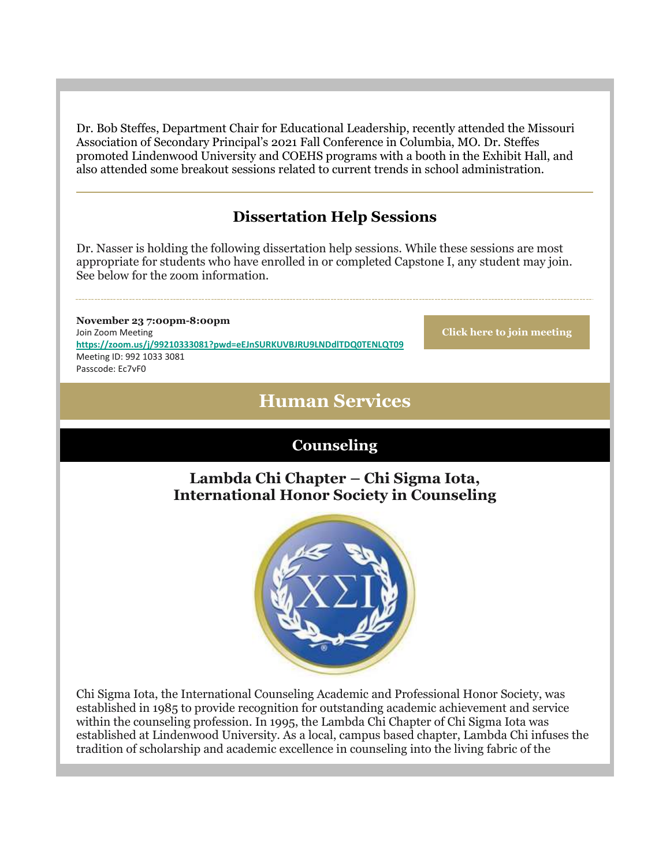Dr. Bob Steffes, Department Chair for Educational Leadership, recently attended the Missouri Association of Secondary Principal's 2021 Fall Conference in Columbia, MO. Dr. Steffes promoted Lindenwood University and COEHS programs with a booth in the Exhibit Hall, and also attended some breakout sessions related to current trends in school administration.

# **Dissertation Help Sessions**

Dr. Nasser is holding the following dissertation help sessions. While these sessions are most appropriate for students who have enrolled in or completed Capstone I, any student may join. See below for the zoom information.

**November 23 7:00pm-8:00pm** Join Zoom Meeting **[https://zoom.us/j/99210333081?pwd=eEJnSURKUVBJRU9LNDdlTDQ0TENLQT09](https://nam04.safelinks.protection.outlook.com/?url=https%3A%2F%2Fr20.rs6.net%2Ftn.jsp%3Ff%3D0015abTkrdpAVPx09GBQD_AfWXTOYMZgUXJ327L0_KMN9UBOD7zzQhVzoHyCjjodkYDzfKCRkTgg_FwDw11GHEwcF6SyAaxmnhev1NcSn_XYn4Rf4ifz3QwkYQF1Bt3Q-bjXfZd9YgYdzmnpOOdy1fomAb2qW--GYVRdV3wmeAyUGLrVwhKshoUavJQekJGAxUp4O-LnQRXrZQvQaqgTTEVpg%3D%3D%26c%3D7frSRQnWKkGeg84yC4F1CXKaPZWoz4SZnhABot4NspFH9KxFkWZVnw%3D%3D%26ch%3DOyTp40uIC0Z_4jKwOf0_aUnutovzqWfi4J9WdVGRZzOf_Tp6yc9y_Q%3D%3D&data=04%7C01%7Cphuffman%40lindenwood.edu%7C6d79077c682747c847b708d99d51922c%7C3d72f08e540a4c68905d9e69c4d9c61e%7C1%7C0%7C637713795941159417%7CUnknown%7CTWFpbGZsb3d8eyJWIjoiMC4wLjAwMDAiLCJQIjoiV2luMzIiLCJBTiI6Ik1haWwiLCJXVCI6Mn0%3D%7C1000&sdata=9lAmSqg4qyhNRpIDzStVQUyscxixEjhQgN2jaenabC4%3D&reserved=0)** Meeting ID: 992 1033 3081 Passcode: Ec7vF0

**[Click here to join meeting](https://nam04.safelinks.protection.outlook.com/?url=https%3A%2F%2Fr20.rs6.net%2Ftn.jsp%3Ff%3D0015abTkrdpAVPx09GBQD_AfWXTOYMZgUXJ327L0_KMN9UBOD7zzQhVzoHyCjjodkYDzfKCRkTgg_FwDw11GHEwcF6SyAaxmnhev1NcSn_XYn4Rf4ifz3QwkYQF1Bt3Q-bjXfZd9YgYdzmnpOOdy1fomAb2qW--GYVRdV3wmeAyUGLrVwhKshoUavJQekJGAxUp4O-LnQRXrZQvQaqgTTEVpg%3D%3D%26c%3D7frSRQnWKkGeg84yC4F1CXKaPZWoz4SZnhABot4NspFH9KxFkWZVnw%3D%3D%26ch%3DOyTp40uIC0Z_4jKwOf0_aUnutovzqWfi4J9WdVGRZzOf_Tp6yc9y_Q%3D%3D&data=04%7C01%7Cphuffman%40lindenwood.edu%7C6d79077c682747c847b708d99d51922c%7C3d72f08e540a4c68905d9e69c4d9c61e%7C1%7C0%7C637713795941169376%7CUnknown%7CTWFpbGZsb3d8eyJWIjoiMC4wLjAwMDAiLCJQIjoiV2luMzIiLCJBTiI6Ik1haWwiLCJXVCI6Mn0%3D%7C1000&sdata=CtFLYf5YVdb67sEmurWoD5F4fmdXlLrzKwxTOzy5dyo%3D&reserved=0)**

# **Human Services**

## **Counseling**

## **Lambda Chi Chapter – Chi Sigma Iota, International Honor Society in Counseling**



Chi Sigma Iota, the International Counseling Academic and Professional Honor Society, was established in 1985 to provide recognition for outstanding academic achievement and service within the counseling profession. In 1995, the Lambda Chi Chapter of Chi Sigma Iota was established at Lindenwood University. As a local, campus based chapter, Lambda Chi infuses the tradition of scholarship and academic excellence in counseling into the living fabric of the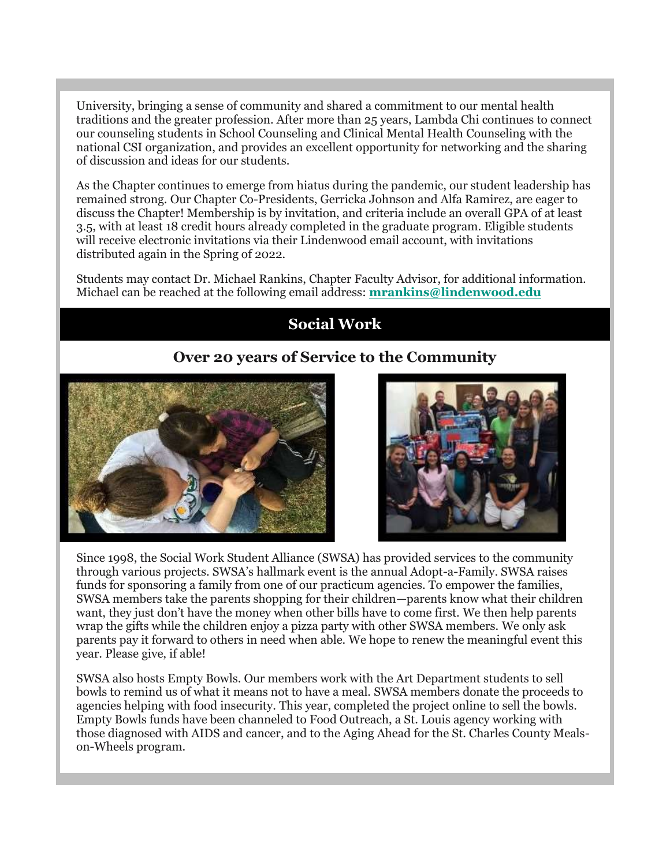University, bringing a sense of community and shared a commitment to our mental health traditions and the greater profession. After more than 25 years, Lambda Chi continues to connect our counseling students in School Counseling and Clinical Mental Health Counseling with the national CSI organization, and provides an excellent opportunity for networking and the sharing of discussion and ideas for our students.

As the Chapter continues to emerge from hiatus during the pandemic, our student leadership has remained strong. Our Chapter Co-Presidents, Gerricka Johnson and Alfa Ramirez, are eager to discuss the Chapter! Membership is by invitation, and criteria include an overall GPA of at least 3.5, with at least 18 credit hours already completed in the graduate program. Eligible students will receive electronic invitations via their Lindenwood email account, with invitations distributed again in the Spring of 2022.

Students may contact Dr. Michael Rankins, Chapter Faculty Advisor, for additional information. Michael can be reached at the following email address: **[mrankins@lindenwood.edu](mailto:mrankins@lindenwood.edu)**

# **Social Work**

# **Over 20 years of Service to the Community**





Since 1998, the Social Work Student Alliance (SWSA) has provided services to the community through various projects. SWSA's hallmark event is the annual Adopt-a-Family. SWSA raises funds for sponsoring a family from one of our practicum agencies. To empower the families, SWSA members take the parents shopping for their children—parents know what their children want, they just don't have the money when other bills have to come first. We then help parents wrap the gifts while the children enjoy a pizza party with other SWSA members. We only ask parents pay it forward to others in need when able. We hope to renew the meaningful event this year. Please give, if able!

SWSA also hosts Empty Bowls. Our members work with the Art Department students to sell bowls to remind us of what it means not to have a meal. SWSA members donate the proceeds to agencies helping with food insecurity. This year, completed the project online to sell the bowls. Empty Bowls funds have been channeled to Food Outreach, a St. Louis agency working with those diagnosed with AIDS and cancer, and to the Aging Ahead for the St. Charles County Mealson-Wheels program.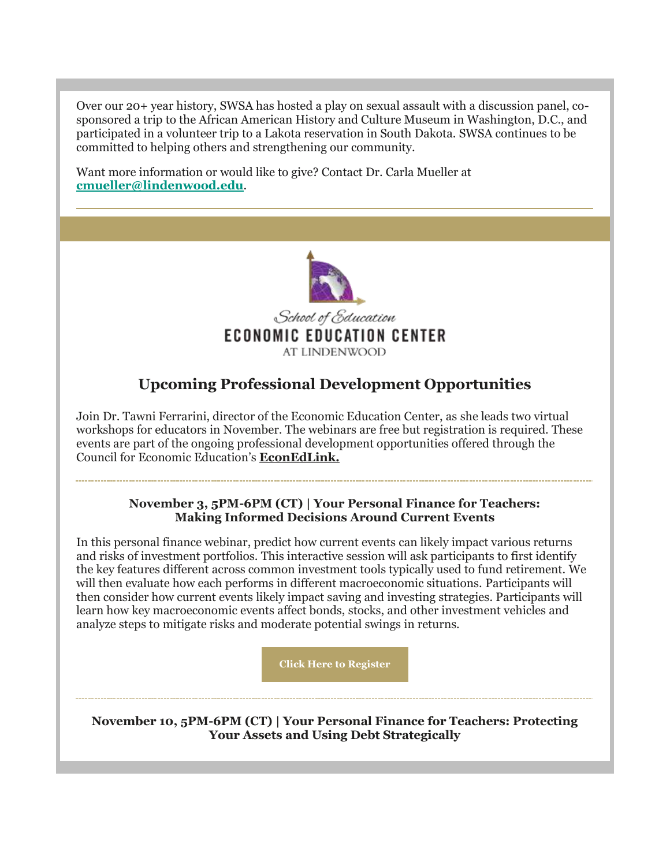Over our 20+ year history, SWSA has hosted a play on sexual assault with a discussion panel, cosponsored a trip to the African American History and Culture Museum in Washington, D.C., and participated in a volunteer trip to a Lakota reservation in South Dakota. SWSA continues to be committed to helping others and strengthening our community.

Want more information or would like to give? Contact Dr. Carla Mueller at **[cmueller@lindenwood.edu](mailto:cmueller@lindenwood.edu)**.



# **Upcoming Professional Development Opportunities**

Join Dr. Tawni Ferrarini, director of the Economic Education Center, as she leads two virtual workshops for educators in November. The webinars are free but registration is required. These events are part of the ongoing professional development opportunities offered through the Council for Economic Education's **[EconEdLink.](https://nam04.safelinks.protection.outlook.com/?url=https%3A%2F%2Fr20.rs6.net%2Ftn.jsp%3Ff%3D0015abTkrdpAVPx09GBQD_AfWXTOYMZgUXJ327L0_KMN9UBOD7zzQhVzhM05ku32TNlONuRMIVi6kXdg2A25JD094-DBwtzcCHR9QKykdg9q9RXsidMhOH3sAvgYlreEYBVfBBofHnfVWg07x7G8TRC2Q%3D%3D%26c%3D7frSRQnWKkGeg84yC4F1CXKaPZWoz4SZnhABot4NspFH9KxFkWZVnw%3D%3D%26ch%3DOyTp40uIC0Z_4jKwOf0_aUnutovzqWfi4J9WdVGRZzOf_Tp6yc9y_Q%3D%3D&data=04%7C01%7Cphuffman%40lindenwood.edu%7C6d79077c682747c847b708d99d51922c%7C3d72f08e540a4c68905d9e69c4d9c61e%7C1%7C0%7C637713795941169376%7CUnknown%7CTWFpbGZsb3d8eyJWIjoiMC4wLjAwMDAiLCJQIjoiV2luMzIiLCJBTiI6Ik1haWwiLCJXVCI6Mn0%3D%7C1000&sdata=zH07hoFJ03e%2Bfn1BI8fVR%2FwBZErPSxnYs3EOxZf%2FNMs%3D&reserved=0)**

**November 3, 5PM-6PM (CT) | Your Personal Finance for Teachers: Making Informed Decisions Around Current Events**

In this personal finance webinar, predict how current events can likely impact various returns and risks of investment portfolios. This interactive session will ask participants to first identify the key features different across common investment tools typically used to fund retirement. We will then evaluate how each performs in different macroeconomic situations. Participants will then consider how current events likely impact saving and investing strategies. Participants will learn how key macroeconomic events affect bonds, stocks, and other investment vehicles and analyze steps to mitigate risks and moderate potential swings in returns.

**[Click Here to Register](https://nam04.safelinks.protection.outlook.com/?url=https%3A%2F%2Fr20.rs6.net%2Ftn.jsp%3Ff%3D0015abTkrdpAVPx09GBQD_AfWXTOYMZgUXJ327L0_KMN9UBOD7zzQhVzhM05ku32TNljlEzKG761ZBEX2SE15yVNU47tQHcL2NskTcgiT7cfqkF10R3Z7EuOoTzDP88Rduk_GBv3vuY7u3uOn7GM23P1dro7_jxIvCfKjS2gbuXzAjPZWCC4aVt51aOXh1VCOzLzj2u5xp4-X_wiosdeOPkdtevjnCLYlWOWcmSpVB1U115fKELi1-1_idOx61D66t8cL8ffUSO6APHpqZydLFMEA%3D%3D%26c%3D7frSRQnWKkGeg84yC4F1CXKaPZWoz4SZnhABot4NspFH9KxFkWZVnw%3D%3D%26ch%3DOyTp40uIC0Z_4jKwOf0_aUnutovzqWfi4J9WdVGRZzOf_Tp6yc9y_Q%3D%3D&data=04%7C01%7Cphuffman%40lindenwood.edu%7C6d79077c682747c847b708d99d51922c%7C3d72f08e540a4c68905d9e69c4d9c61e%7C1%7C0%7C637713795941179320%7CUnknown%7CTWFpbGZsb3d8eyJWIjoiMC4wLjAwMDAiLCJQIjoiV2luMzIiLCJBTiI6Ik1haWwiLCJXVCI6Mn0%3D%7C1000&sdata=vhhmWauepqzD4faF%2BGQ1wPNSr%2BiNg47S5FVdEVIR5fE%3D&reserved=0)**

**November 10, 5PM-6PM (CT) | Your Personal Finance for Teachers: Protecting Your Assets and Using Debt Strategically**